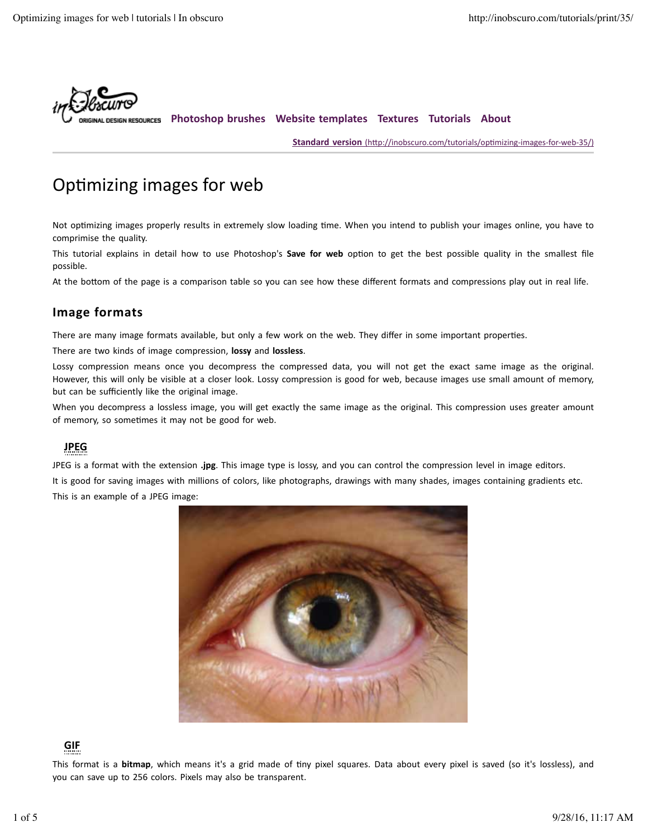

**Photoshop brushes Website templates Textures Tutorials About**

**Standard version** (http://inobscuro.com/tutorials/optimizing-images-for-web-35/)

# Optimizing images for web

Not optimizing images properly results in extremely slow loading time. When you intend to publish your images online, you have to comprimise the quality.

This tutorial explains in detail how to use Photoshop's **Save for web** option to get the best possible quality in the smallest file possible.

At the bottom of the page is a comparison table so you can see how these different formats and compressions play out in real life.

# **Image formats**

There are many image formats available, but only a few work on the web. They differ in some important properties.

There are two kinds of image compression, **lossy** and **lossless**.

Lossy compression means once you decompress the compressed data, you will not get the exact same image as the original. However, this will only be visible at a closer look. Lossy compression is good for web, because images use small amount of memory, but can be sufficiently like the original image.

When you decompress a lossless image, you will get exactly the same image as the original. This compression uses greater amount of memory, so sometimes it may not be good for web.

## **JPEG**

JPEG is a format with the extension .jpg. This image type is lossy, and you can control the compression level in image editors.

It is good for saving images with millions of colors, like photographs, drawings with many shades, images containing gradients etc. This is an example of a JPEG image:



### **GIF**

This format is a **bitmap**, which means it's a grid made of tiny pixel squares. Data about every pixel is saved (so it's lossless), and you can save up to 256 colors. Pixels may also be transparent.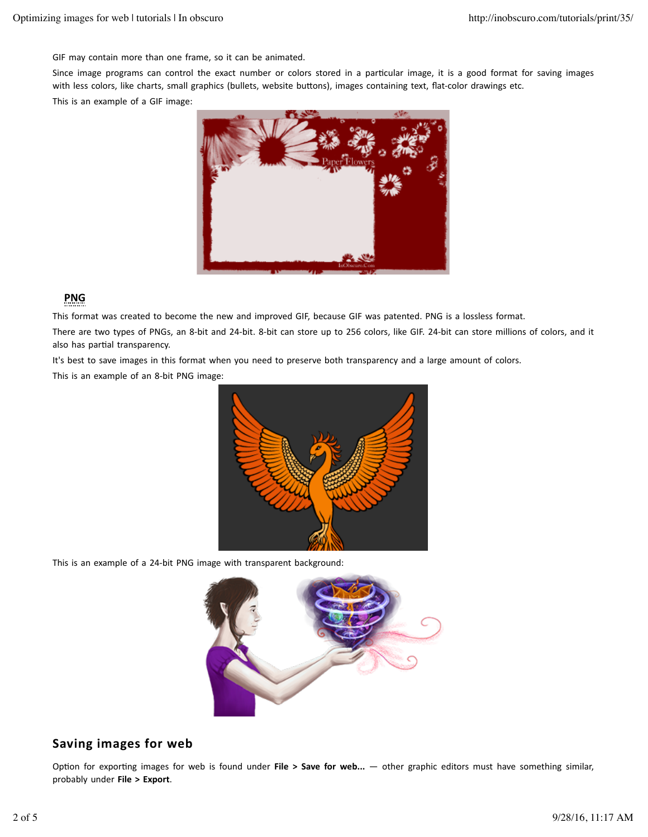GIF may contain more than one frame, so it can be animated.

Since image programs can control the exact number or colors stored in a particular image, it is a good format for saving images with less colors, like charts, small graphics (bullets, website buttons), images containing text, flat-color drawings etc.

This is an example of a GIF image:



## **PNG**

This format was created to become the new and improved GIF, because GIF was patented. PNG is a lossless format.

There are two types of PNGs, an 8-bit and 24-bit. 8-bit can store up to 256 colors, like GIF. 24-bit can store millions of colors, and it also has partial transparency.

It's best to save images in this format when you need to preserve both transparency and a large amount of colors.

This is an example of an 8-bit PNG image:



This is an example of a 24-bit PNG image with transparent background:



# Saving images for web

Option for exporting images for web is found under **File > Save for web...** — other graphic editors must have something similar, probably under **File > Export**.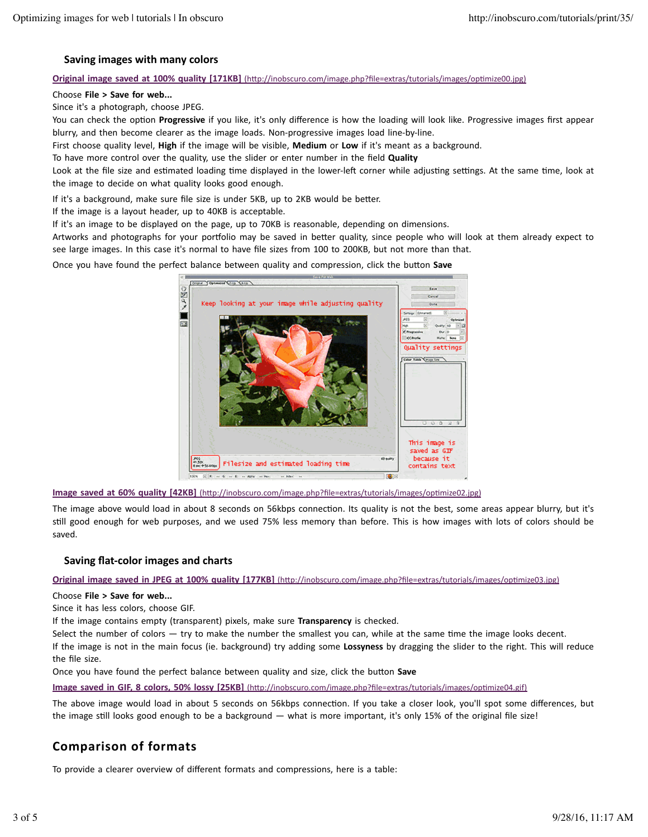### **Saving images with many colors**

#### **Original image saved at 100% quality [171KB]** (http://inobscuro.com/image.php?file=extras/tutorials/images/optimize00.jpg)

#### Choose File > Save for web...

Since it's a photograph, choose JPEG.

You can check the option Progressive if you like, it's only difference is how the loading will look like. Progressive images first appear blurry, and then become clearer as the image loads. Non-progressive images load line-by-line.

First choose quality level, **High** if the image will be visible, **Medium** or Low if it's meant as a background.

To have more control over the quality, use the slider or enter number in the field **Quality** 

Look at the file size and estimated loading time displayed in the lower-left corner while adjusting settings. At the same time, look at the image to decide on what quality looks good enough.

If it's a background, make sure file size is under 5KB, up to 2KB would be better.

If the image is a layout header, up to 40KB is acceptable.

If it's an image to be displayed on the page, up to 70KB is reasonable, depending on dimensions.

Artworks and photographs for your portfolio may be saved in better quality, since people who will look at them already expect to see large images. In this case it's normal to have file sizes from 100 to 200KB, but not more than that.

Once you have found the perfect balance between quality and compression, click the button Save



**Image saved at 60% quality [42KB]** (http://inobscuro.com/image.php?file=extras/tutorials/images/optimize02.jpg)

The image above would load in about 8 seconds on 56kbps connection. Its quality is not the best, some areas appear blurry, but it's still good enough for web purposes, and we used 75% less memory than before. This is how images with lots of colors should be saved.

### **Saving flat-color images and charts**

**Original image saved in JPEG at 100% quality [177KB]** (http://inobscuro.com/image.php?file=extras/tutorials/images/optimize03.jpg)

#### Choose **File** > Save for web...

Since it has less colors, choose GIF.

If the image contains empty (transparent) pixels, make sure Transparency is checked.

Select the number of colors  $-$  try to make the number the smallest you can, while at the same time the image looks decent.

If the image is not in the main focus (ie. background) try adding some Lossyness by dragging the slider to the right. This will reduce the file size.

Once you have found the perfect balance between quality and size, click the button **Save** 

**Image saved in GIF, 8 colors, 50% lossy [25KB]** (http://inobscuro.com/image.php?file=extras/tutorials/images/optimize04.gif)

The above image would load in about 5 seconds on 56kbps connection. If you take a closer look, you'll spot some differences, but the image still looks good enough to be a background  $-$  what is more important, it's only 15% of the original file size!

# **Comparison of formats**

To provide a clearer overview of different formats and compressions, here is a table: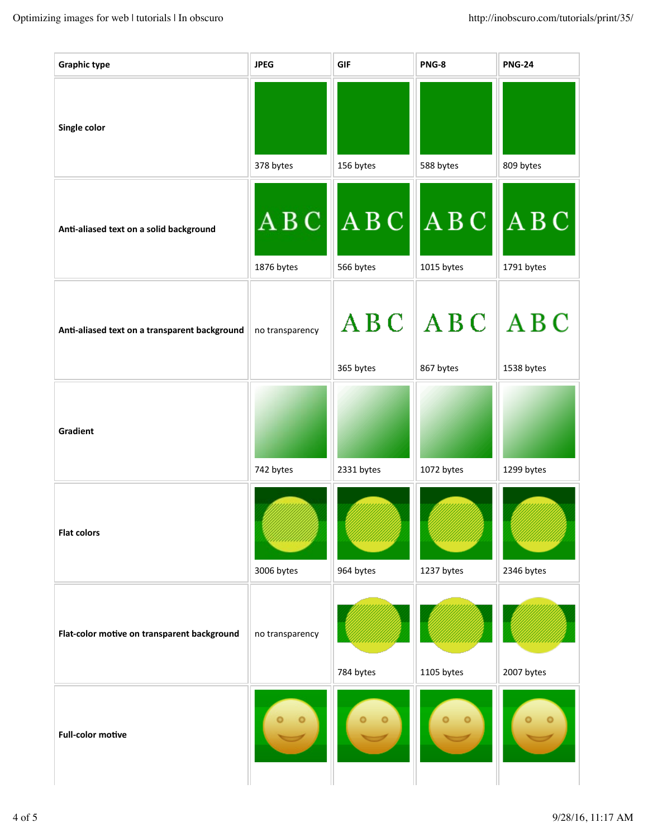| <b>Graphic type</b>                           | <b>JPEG</b>         | <b>GIF</b>         | PNG-8                          | <b>PNG-24</b>       |
|-----------------------------------------------|---------------------|--------------------|--------------------------------|---------------------|
| Single color                                  | 378 bytes           | 156 bytes          | 588 bytes                      | 809 bytes           |
| Anti-aliased text on a solid background       | A B C<br>1876 bytes | A B C<br>566 bytes | A B C<br>1015 bytes            | A B C<br>1791 bytes |
| Anti-aliased text on a transparent background | no transparency     | 365 bytes          | $ABC$ $ABC$ $ABC$<br>867 bytes | 1538 bytes          |
| Gradient                                      | 742 bytes           | 2331 bytes         | 1072 bytes                     | 1299 bytes          |
| <b>Flat colors</b>                            | 3006 bytes          | 964 bytes          | 1237 bytes                     | 2346 bytes          |
| Flat-color motive on transparent background   | no transparency     | 784 bytes          | 1105 bytes                     | 2007 bytes          |
| <b>Full-color motive</b>                      |                     |                    |                                |                     |